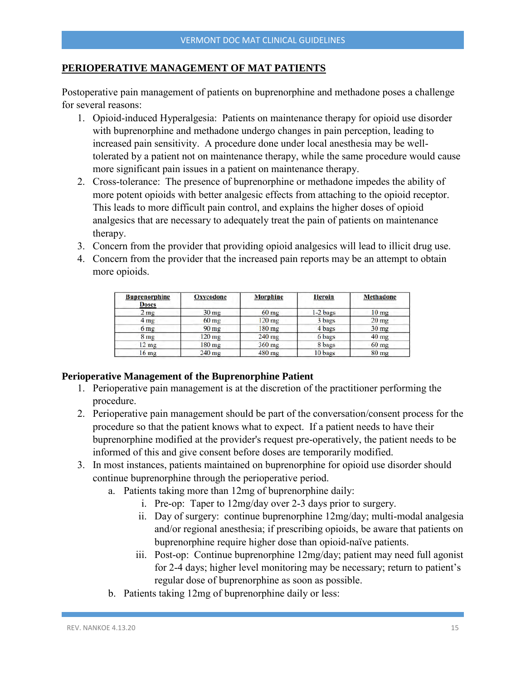#### **PERIOPERATIVE MANAGEMENT OF MAT PATIENTS**

Postoperative pain management of patients on buprenorphine and methadone poses a challenge for several reasons:

- 1. Opioid-induced Hyperalgesia: Patients on maintenance therapy for opioid use disorder with buprenorphine and methadone undergo changes in pain perception, leading to increased pain sensitivity. A procedure done under local anesthesia may be welltolerated by a patient not on maintenance therapy, while the same procedure would cause more significant pain issues in a patient on maintenance therapy.
- 2. Cross-tolerance: The presence of buprenorphine or methadone impedes the ability of more potent opioids with better analgesic effects from attaching to the opioid receptor. This leads to more difficult pain control, and explains the higher doses of opioid analgesics that are necessary to adequately treat the pain of patients on maintenance therapy.
- 3. Concern from the provider that providing opioid analgesics will lead to illicit drug use.
- 4. Concern from the provider that the increased pain reports may be an attempt to obtain more opioids.

| <b>Buprenorphine</b><br><b>Doses</b> | <b>Oxycodone</b> | <b>Morphine</b> | <b>Heroin</b> | <b>Methadone</b> |
|--------------------------------------|------------------|-----------------|---------------|------------------|
| $2 \text{ mg}$                       | 30 <sub>mg</sub> | $60$ mg         | $1-2$ bags    | 10 <sub>mg</sub> |
| 4 <sub>mg</sub>                      | $60$ mg          | $120$ mg        | 3 bags        | $20$ mg          |
| 6 <sub>mg</sub>                      | $90 \text{ mg}$  | $180$ mg        | 4 bags        | $30$ mg          |
| 8 <sub>mg</sub>                      | $120$ mg         | $240$ mg        | 6 bags        | $40$ mg          |
| $12$ mg                              | $180$ mg         | 360 mg          | 8 bags        | $60$ mg          |
| 16 <sub>mg</sub>                     | $240$ mg         | $480$ mg        | 10 bags       | $80 \text{ mg}$  |

#### **Perioperative Management of the Buprenorphine Patient**

- 1. Perioperative pain management is at the discretion of the practitioner performing the procedure.
- 2. Perioperative pain management should be part of the conversation/consent process for the procedure so that the patient knows what to expect. If a patient needs to have their buprenorphine modified at the provider's request pre-operatively, the patient needs to be informed of this and give consent before doses are temporarily modified.
- 3. In most instances, patients maintained on buprenorphine for opioid use disorder should continue buprenorphine through the perioperative period.
	- a. Patients taking more than 12mg of buprenorphine daily:
		- i. Pre-op: Taper to 12mg/day over 2-3 days prior to surgery.
		- ii. Day of surgery: continue buprenorphine 12mg/day; multi-modal analgesia and/or regional anesthesia; if prescribing opioids, be aware that patients on buprenorphine require higher dose than opioid-naïve patients.
		- iii. Post-op: Continue buprenorphine 12mg/day; patient may need full agonist for 2-4 days; higher level monitoring may be necessary; return to patient's regular dose of buprenorphine as soon as possible.
	- b. Patients taking 12mg of buprenorphine daily or less: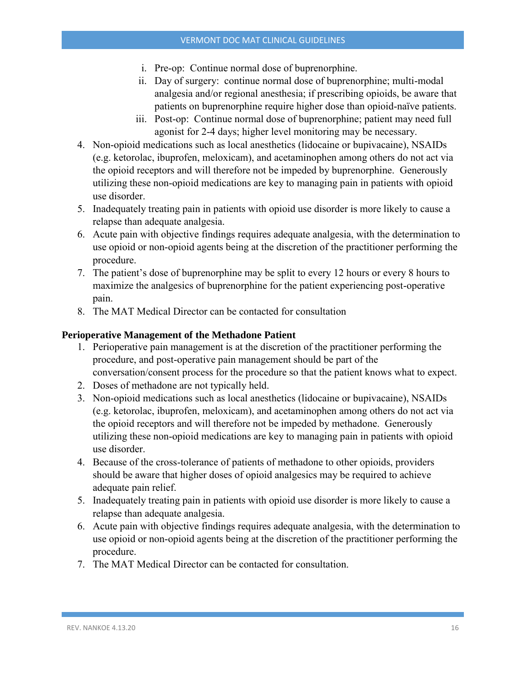- i. Pre-op: Continue normal dose of buprenorphine.
- ii. Day of surgery: continue normal dose of buprenorphine; multi-modal analgesia and/or regional anesthesia; if prescribing opioids, be aware that patients on buprenorphine require higher dose than opioid-naïve patients.
- iii. Post-op: Continue normal dose of buprenorphine; patient may need full agonist for 2-4 days; higher level monitoring may be necessary.
- 4. Non-opioid medications such as local anesthetics (lidocaine or bupivacaine), NSAIDs (e.g. ketorolac, ibuprofen, meloxicam), and acetaminophen among others do not act via the opioid receptors and will therefore not be impeded by buprenorphine. Generously utilizing these non-opioid medications are key to managing pain in patients with opioid use disorder.
- 5. Inadequately treating pain in patients with opioid use disorder is more likely to cause a relapse than adequate analgesia.
- 6. Acute pain with objective findings requires adequate analgesia, with the determination to use opioid or non-opioid agents being at the discretion of the practitioner performing the procedure.
- 7. The patient's dose of buprenorphine may be split to every 12 hours or every 8 hours to maximize the analgesics of buprenorphine for the patient experiencing post-operative pain.
- 8. The MAT Medical Director can be contacted for consultation

## **Perioperative Management of the Methadone Patient**

- 1. Perioperative pain management is at the discretion of the practitioner performing the procedure, and post-operative pain management should be part of the conversation/consent process for the procedure so that the patient knows what to expect.
- 2. Doses of methadone are not typically held.
- 3. Non-opioid medications such as local anesthetics (lidocaine or bupivacaine), NSAIDs (e.g. ketorolac, ibuprofen, meloxicam), and acetaminophen among others do not act via the opioid receptors and will therefore not be impeded by methadone. Generously utilizing these non-opioid medications are key to managing pain in patients with opioid use disorder.
- 4. Because of the cross-tolerance of patients of methadone to other opioids, providers should be aware that higher doses of opioid analgesics may be required to achieve adequate pain relief.
- 5. Inadequately treating pain in patients with opioid use disorder is more likely to cause a relapse than adequate analgesia.
- 6. Acute pain with objective findings requires adequate analgesia, with the determination to use opioid or non-opioid agents being at the discretion of the practitioner performing the procedure.
- 7. The MAT Medical Director can be contacted for consultation.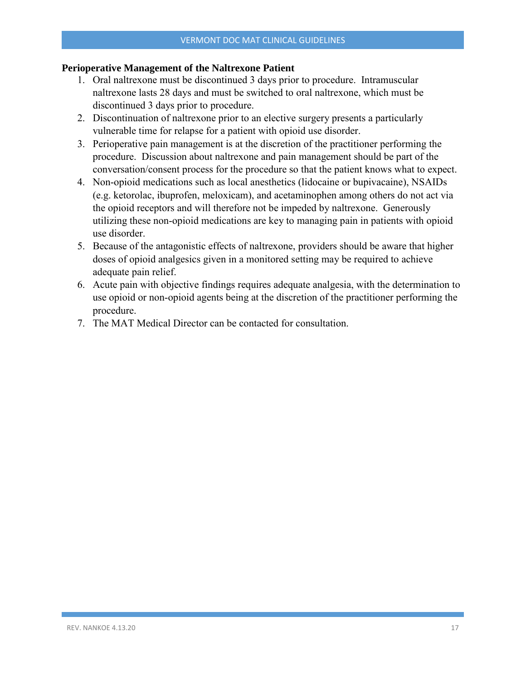#### **Perioperative Management of the Naltrexone Patient**

- 1. Oral naltrexone must be discontinued 3 days prior to procedure. Intramuscular naltrexone lasts 28 days and must be switched to oral naltrexone, which must be discontinued 3 days prior to procedure.
- 2. Discontinuation of naltrexone prior to an elective surgery presents a particularly vulnerable time for relapse for a patient with opioid use disorder.
- 3. Perioperative pain management is at the discretion of the practitioner performing the procedure. Discussion about naltrexone and pain management should be part of the conversation/consent process for the procedure so that the patient knows what to expect.
- 4. Non-opioid medications such as local anesthetics (lidocaine or bupivacaine), NSAIDs (e.g. ketorolac, ibuprofen, meloxicam), and acetaminophen among others do not act via the opioid receptors and will therefore not be impeded by naltrexone. Generously utilizing these non-opioid medications are key to managing pain in patients with opioid use disorder.
- 5. Because of the antagonistic effects of naltrexone, providers should be aware that higher doses of opioid analgesics given in a monitored setting may be required to achieve adequate pain relief.
- 6. Acute pain with objective findings requires adequate analgesia, with the determination to use opioid or non-opioid agents being at the discretion of the practitioner performing the procedure.
- 7. The MAT Medical Director can be contacted for consultation.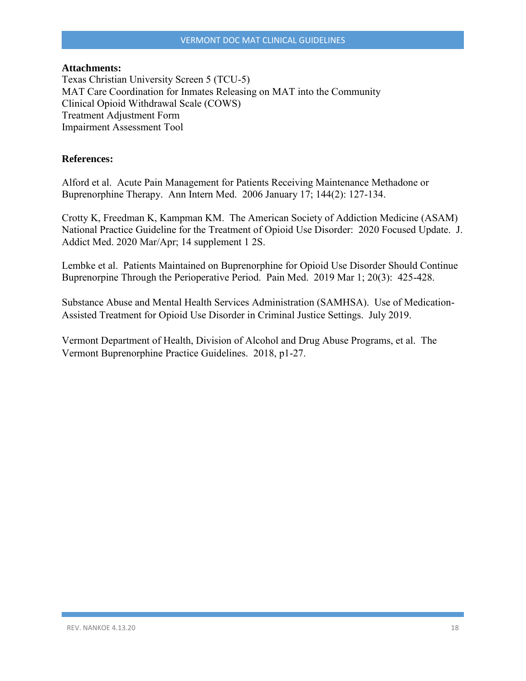#### **Attachments:**

Texas Christian University Screen 5 (TCU-5) MAT Care Coordination for Inmates Releasing on MAT into the Community Clinical Opioid Withdrawal Scale (COWS) Treatment Adjustment Form Impairment Assessment Tool

#### **References:**

Alford et al. Acute Pain Management for Patients Receiving Maintenance Methadone or Buprenorphine Therapy. Ann Intern Med. 2006 January 17; 144(2): 127-134.

Crotty K, Freedman K, Kampman KM. The American Society of Addiction Medicine (ASAM) National Practice Guideline for the Treatment of Opioid Use Disorder: 2020 Focused Update. J. Addict Med. 2020 Mar/Apr; 14 supplement 1 2S.

Lembke et al. Patients Maintained on Buprenorphine for Opioid Use Disorder Should Continue Buprenorpine Through the Perioperative Period. Pain Med. 2019 Mar 1; 20(3): 425-428.

Substance Abuse and Mental Health Services Administration (SAMHSA). Use of Medication-Assisted Treatment for Opioid Use Disorder in Criminal Justice Settings. July 2019.

Vermont Department of Health, Division of Alcohol and Drug Abuse Programs, et al. The Vermont Buprenorphine Practice Guidelines. 2018, p1-27.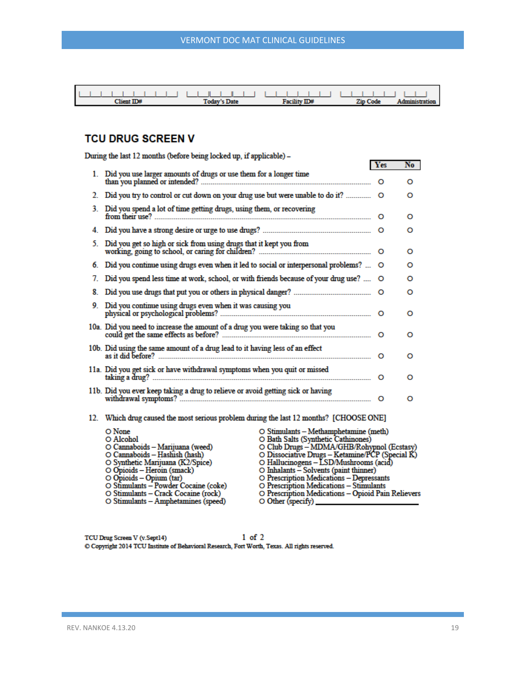| $Client$ $ID#$ | <b>Today's Date</b> | <b>Facility ID#</b> | Zin Code | Administration |
|----------------|---------------------|---------------------|----------|----------------|

## **TCU DRUG SCREEN V**

|    | During the last 12 months (before being locked up, if applicable) -                                                                                                                                                                                                                                              |                                                                                                                                                                                                                                                                                                                                                                                                                |         |    |
|----|------------------------------------------------------------------------------------------------------------------------------------------------------------------------------------------------------------------------------------------------------------------------------------------------------------------|----------------------------------------------------------------------------------------------------------------------------------------------------------------------------------------------------------------------------------------------------------------------------------------------------------------------------------------------------------------------------------------------------------------|---------|----|
|    | 1. Did you use larger amounts of drugs or use them for a longer time                                                                                                                                                                                                                                             |                                                                                                                                                                                                                                                                                                                                                                                                                | Yes     | No |
|    |                                                                                                                                                                                                                                                                                                                  |                                                                                                                                                                                                                                                                                                                                                                                                                |         | O  |
| 2. | Did you try to control or cut down on your drug use but were unable to do it?                                                                                                                                                                                                                                    |                                                                                                                                                                                                                                                                                                                                                                                                                | $\circ$ | o  |
| 3. | Did you spend a lot of time getting drugs, using them, or recovering                                                                                                                                                                                                                                             |                                                                                                                                                                                                                                                                                                                                                                                                                | $\circ$ | o  |
| 4. |                                                                                                                                                                                                                                                                                                                  |                                                                                                                                                                                                                                                                                                                                                                                                                |         | o  |
| 5. | Did you get so high or sick from using drugs that it kept you from                                                                                                                                                                                                                                               |                                                                                                                                                                                                                                                                                                                                                                                                                |         | o  |
| 6. | Did you continue using drugs even when it led to social or interpersonal problems?  O                                                                                                                                                                                                                            |                                                                                                                                                                                                                                                                                                                                                                                                                |         | o  |
| 7. | Did you spend less time at work, school, or with friends because of your drug use?                                                                                                                                                                                                                               |                                                                                                                                                                                                                                                                                                                                                                                                                | O       | o  |
| 8. |                                                                                                                                                                                                                                                                                                                  |                                                                                                                                                                                                                                                                                                                                                                                                                |         | o  |
| 9. |                                                                                                                                                                                                                                                                                                                  |                                                                                                                                                                                                                                                                                                                                                                                                                |         | o  |
|    | 10a. Did you need to increase the amount of a drug you were taking so that you                                                                                                                                                                                                                                   |                                                                                                                                                                                                                                                                                                                                                                                                                |         | o  |
|    | 10b. Did using the same amount of a drug lead to it having less of an effect                                                                                                                                                                                                                                     |                                                                                                                                                                                                                                                                                                                                                                                                                |         | o  |
|    | 11a. Did you get sick or have withdrawal symptoms when you quit or missed                                                                                                                                                                                                                                        |                                                                                                                                                                                                                                                                                                                                                                                                                | $\circ$ | o  |
|    |                                                                                                                                                                                                                                                                                                                  |                                                                                                                                                                                                                                                                                                                                                                                                                | $\circ$ | O  |
|    | 12. Which drug caused the most serious problem during the last 12 months? [CHOOSE ONE]                                                                                                                                                                                                                           |                                                                                                                                                                                                                                                                                                                                                                                                                |         |    |
|    | O None<br>O Alcohol<br>O Cannaboids - Marijuana (weed)<br>O Cannaboids - Hashish (hash)<br>O Synthetic Marijuana (K2/Spice)<br>O Opioids - Heroin (smack)<br>$\circ$ Opioids – Opium (tar)<br>O Stimulants – Powder Cocaine (coke)<br>O Stimulants – Crack Cocaine (rock)<br>O Stimulants - Amphetamines (speed) | O Stimulants - Methamphetamine (meth)<br>O Bath Salts (Synthetic Cathinones)<br>O Club Drugs - MDMA/GHB/Rohypnol (Ecstasy)<br>O Dissociative Drugs - Ketamine/PCP (Special K)<br>O Hallucinogens - LSD/Mushrooms (acid)<br>O Inhalants - Solvents (paint thinner)<br>O Prescription Medications - Depressants<br>O Prescription Medications - Stimulants<br>O Prescription Medications - Opioid Pain Relievers |         |    |

 $1$  of  $2$ TCU Drug Screen V (v.Sept14) C Copyright 2014 TCU Institute of Behavioral Research, Fort Worth, Texas. All rights reserved.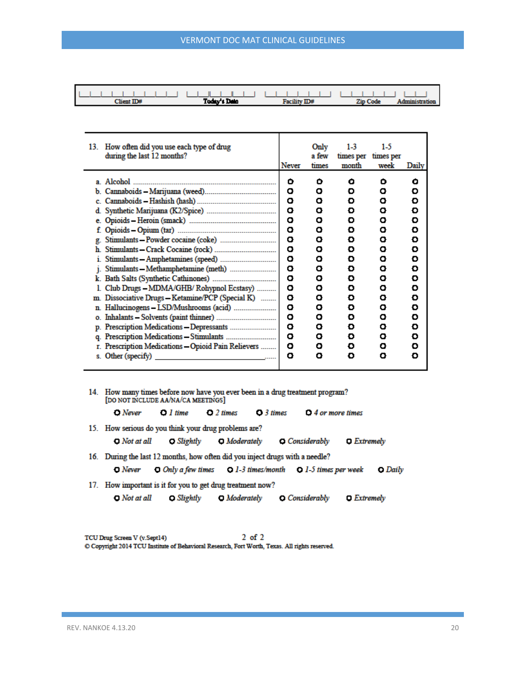| $Client$ $ID#$ | Today's Date | Facility ID# | Zip Code | Administration |
|----------------|--------------|--------------|----------|----------------|

| 13. | How often did you use each type of drug<br>during the last 12 months?                                                                 | <b>Never</b>                                   | Only<br>a few<br>times                         | $1-3$<br>times per<br>month                    | $1-5$<br>times per<br>week                     | Daily                                          |
|-----|---------------------------------------------------------------------------------------------------------------------------------------|------------------------------------------------|------------------------------------------------|------------------------------------------------|------------------------------------------------|------------------------------------------------|
|     | Stimulants - Methamphetamine (meth)                                                                                                   | o<br>ο<br>o<br>o<br>о<br>o<br>o<br>o<br>o<br>o | o<br>ο<br>ο<br>ο<br>ο<br>ο<br>ο<br>ο<br>ο<br>ο | ο<br>Đ<br>O<br>Đ<br>Đ<br>O<br>o<br>o<br>o<br>o | o<br>ο<br>ο<br>ο<br>ο<br>ο<br>ο<br>ο<br>ο<br>ο | ο<br>Đ<br>Đ<br>Đ<br>Đ<br>O<br>o<br>O<br>o<br>O |
|     | Club Drugs - MDMA/GHB/ Rohypnol Ecstasy)                                                                                              | ο<br>o                                         | ο<br>ο                                         | o<br>O                                         | ο<br>ο                                         | O<br>O                                         |
| m.  | Dissociative Drugs - Ketamine/PCP (Special K)                                                                                         | ο                                              | ο                                              | o                                              | ο                                              | o                                              |
|     |                                                                                                                                       | о<br>۰                                         | ο<br>ο                                         | o<br>o                                         | ο<br>ο                                         | O<br>O                                         |
|     |                                                                                                                                       | ο                                              | ο                                              | o                                              | ο                                              | Đ                                              |
|     |                                                                                                                                       | ۰                                              | ο                                              | o                                              | ο                                              | o                                              |
|     | r. Prescription Medications - Opioid Pain Relievers                                                                                   | ο                                              | ο                                              | o                                              | ο                                              | o                                              |
|     | s. Other (specify)<br>the contract of the contract of the contract of the contract of the contract of the contract of the contract of | ο                                              | ο                                              | o                                              | ο                                              | o                                              |

| 14. How many times before now have you ever been in a drug treatment program?<br>[DO NOT INCLUDE AA/NA/CA MEETINGS] |                         |                  |            |                          |  |  |  |
|---------------------------------------------------------------------------------------------------------------------|-------------------------|------------------|------------|--------------------------|--|--|--|
| <b>D</b> Never                                                                                                      | $\bullet$ <i>l time</i> | $\Omega$ 2 times | $O3$ times | $\Omega$ 4 or more times |  |  |  |
| 15. How serious do you think your drug problems are?                                                                |                         |                  |            |                          |  |  |  |

 $\Box$  Not at all Slightly  $\Box$  Moderately  $\bigcirc$  Considerably  $D$  Extremely

16. During the last 12 months, how often did you inject drugs with a needle?

 $\Box$  Only a few times  $\Box$  1-3 times/month  $\Box$  1-5 times per week  $\Box$  Never O Daily

17. How important is it for you to get drug treatment now?

Slightly  $\Box$  Not at all  $\Box$  Moderately Considerably  $D$  Extremely

 $2$  of  $2$ TCU Drug Screen V (v. Sept14) C Copyright 2014 TCU Institute of Behavioral Research, Fort Worth, Texas. All rights reserved.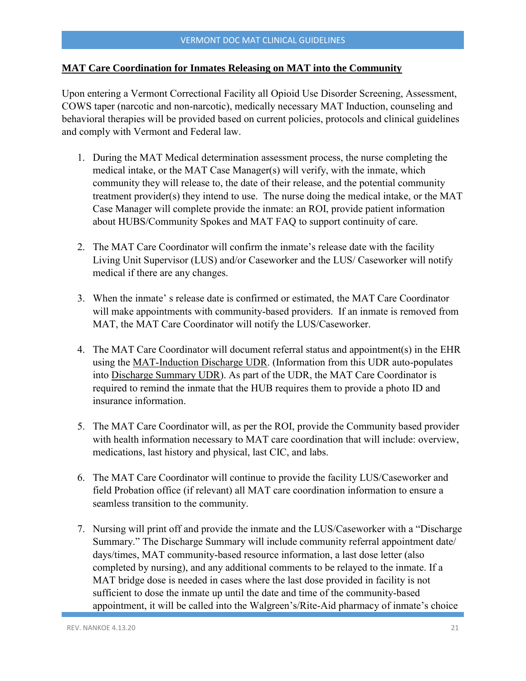#### **MAT Care Coordination for Inmates Releasing on MAT into the Community**

Upon entering a Vermont Correctional Facility all Opioid Use Disorder Screening, Assessment, COWS taper (narcotic and non-narcotic), medically necessary MAT Induction, counseling and behavioral therapies will be provided based on current policies, protocols and clinical guidelines and comply with Vermont and Federal law.

- 1. During the MAT Medical determination assessment process, the nurse completing the medical intake, or the MAT Case Manager(s) will verify, with the inmate, which community they will release to, the date of their release, and the potential community treatment provider(s) they intend to use. The nurse doing the medical intake, or the MAT Case Manager will complete provide the inmate: an ROI, provide patient information about HUBS/Community Spokes and MAT FAQ to support continuity of care.
- 2. The MAT Care Coordinator will confirm the inmate's release date with the facility Living Unit Supervisor (LUS) and/or Caseworker and the LUS/ Caseworker will notify medical if there are any changes.
- 3. When the inmate' s release date is confirmed or estimated, the MAT Care Coordinator will make appointments with community-based providers. If an inmate is removed from MAT, the MAT Care Coordinator will notify the LUS/Caseworker.
- 4. The MAT Care Coordinator will document referral status and appointment(s) in the EHR using the MAT-Induction Discharge UDR. (Information from this UDR auto-populates into Discharge Summary UDR). As part of the UDR, the MAT Care Coordinator is required to remind the inmate that the HUB requires them to provide a photo ID and insurance information.
- 5. The MAT Care Coordinator will, as per the ROI, provide the Community based provider with health information necessary to MAT care coordination that will include: overview, medications, last history and physical, last CIC, and labs.
- 6. The MAT Care Coordinator will continue to provide the facility LUS/Caseworker and field Probation office (if relevant) all MAT care coordination information to ensure a seamless transition to the community.
- 7. Nursing will print off and provide the inmate and the LUS/Caseworker with a "Discharge Summary." The Discharge Summary will include community referral appointment date/ days/times, MAT community-based resource information, a last dose letter (also completed by nursing), and any additional comments to be relayed to the inmate. If a MAT bridge dose is needed in cases where the last dose provided in facility is not sufficient to dose the inmate up until the date and time of the community-based appointment, it will be called into the Walgreen's/Rite-Aid pharmacy of inmate's choice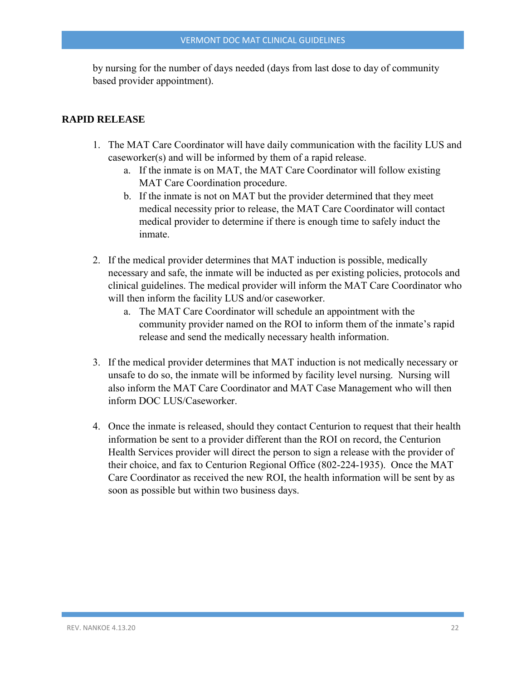by nursing for the number of days needed (days from last dose to day of community based provider appointment).

#### **RAPID RELEASE**

- 1. The MAT Care Coordinator will have daily communication with the facility LUS and caseworker(s) and will be informed by them of a rapid release.
	- a. If the inmate is on MAT, the MAT Care Coordinator will follow existing MAT Care Coordination procedure.
	- b. If the inmate is not on MAT but the provider determined that they meet medical necessity prior to release, the MAT Care Coordinator will contact medical provider to determine if there is enough time to safely induct the inmate.
- 2. If the medical provider determines that MAT induction is possible, medically necessary and safe, the inmate will be inducted as per existing policies, protocols and clinical guidelines. The medical provider will inform the MAT Care Coordinator who will then inform the facility LUS and/or caseworker.
	- a. The MAT Care Coordinator will schedule an appointment with the community provider named on the ROI to inform them of the inmate's rapid release and send the medically necessary health information.
- 3. If the medical provider determines that MAT induction is not medically necessary or unsafe to do so, the inmate will be informed by facility level nursing. Nursing will also inform the MAT Care Coordinator and MAT Case Management who will then inform DOC LUS/Caseworker.
- 4. Once the inmate is released, should they contact Centurion to request that their health information be sent to a provider different than the ROI on record, the Centurion Health Services provider will direct the person to sign a release with the provider of their choice, and fax to Centurion Regional Office (802-224-1935). Once the MAT Care Coordinator as received the new ROI, the health information will be sent by as soon as possible but within two business days.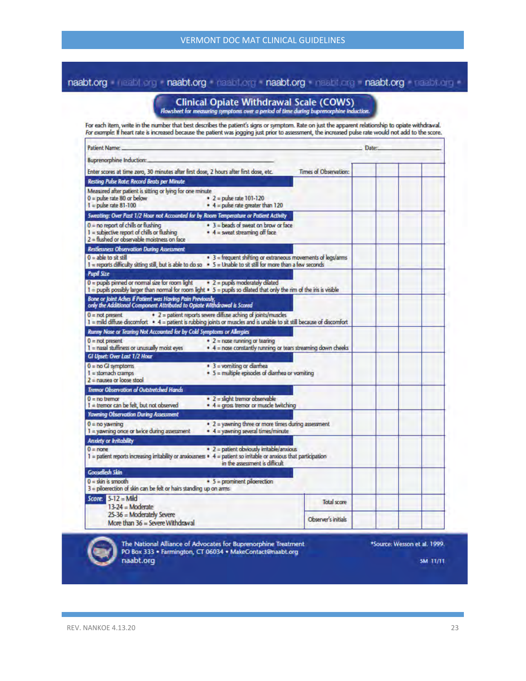## naabt.org mahl.org naabt.org naabt.org naabt.org naabt.org naabt.org naabt.org

# **Clinical Opiate Withdrawal Scale (COWS)**<br>Flowsheet for measuring symptoms over a period of time during buprenorphine induction.

For each item, write in the number that best describes the patient's signs or symptom. Rate on just the apparent relationship to opiate withdrawal.<br>For example: If heart rate is increased because the patient was jogging ju

| Patient Name:                                                                                                                                                                         |                                                                                                               |                       | Date: |
|---------------------------------------------------------------------------------------------------------------------------------------------------------------------------------------|---------------------------------------------------------------------------------------------------------------|-----------------------|-------|
| <b>Buprenorphine Induction:</b>                                                                                                                                                       |                                                                                                               |                       |       |
| Enter scores at time zero, 30 minutes after first dose, 2 hours after first dose, etc.                                                                                                |                                                                                                               | Times of Observation: |       |
| Resting Pulse Rate: Record Beats per Minute                                                                                                                                           |                                                                                                               |                       |       |
| Measured after patient is sitting or lying for one minute<br>$0 =$ pulse rate 80 or below<br>$1 = \text{pulse rate } 81 - 100$                                                        | $\bullet$ 2 = pulse rate 101-120<br>$\bullet$ 4 = pulse rate greater than 120                                 |                       |       |
| Sweating: Over Past 1/2 Hour not Accounted for by Room Temperature or Patient Activity                                                                                                |                                                                                                               |                       |       |
| $0 =$ no report of chills or flushing<br>$I =$ subjective report of chills or flushing<br>2 = flushed or observable moistness on face                                                 | • 3 = beads of sweat on brow or face<br>$\bullet$ 4 = sweat streaming off face                                |                       |       |
| <b>Restlessness Observation During Assessment</b>                                                                                                                                     |                                                                                                               |                       |       |
| $0 =$ able to sit still<br>$1$ = reports difficulty sitting still, but is able to do so $\rightarrow$ 5 = Unable to sit still for more than a few seconds                             | • 3 = frequent shifting or extraneous movements of legs/arms                                                  |                       |       |
| <b>Pupil Size</b>                                                                                                                                                                     |                                                                                                               |                       |       |
| $0 =$ pupils pinned or normal size for room light<br>$1 =$ pupils possibly larger than normal for room light $\bullet$ 5 = pupils so dilated that only the rim of the iris is visible | $\div$ 2 = pupils moderately dilated                                                                          |                       |       |
| Bone or Joint Aches if Patient was Having Pain Previously,<br>only the Additional Component Attributed to Opiate Withdrawal is Scored                                                 |                                                                                                               |                       |       |
| $0 = not present$<br>1 = mild diffuse discomfort • 4 = patient is rubbing joints or muscles and is unable to sit still because of discomfort                                          | • 2 = patient reports severe diffuse aching of joints/muscles                                                 |                       |       |
| Runny Nose or Tearing Not Accounted for by Cold Symptoms or Allergies                                                                                                                 |                                                                                                               |                       |       |
| $0 = not present$<br>1 = nasal stuffiness or unusually moist eyes                                                                                                                     | $\bullet$ 2 = nose running or tearing<br>$\bullet$ 4 = nose constantly running or tears streaming down cheeks |                       |       |
| GI Upset: Over Last 1/2 Hour                                                                                                                                                          |                                                                                                               |                       |       |
| $0 = no Gl$ symptoms<br>$I =$ stomach cramps<br>$2$ = nausea or loose stool                                                                                                           | $\bullet$ 3 = vomiting or diambea<br>$\bullet$ 5 = multiple episodes of diarrhea or vomiting                  |                       |       |
| <b>Tremor Observation of Outstretched Hands</b>                                                                                                                                       |                                                                                                               |                       |       |
| $0 = no$ tremor<br>$I =$ tremor can be felt, but not observed                                                                                                                         | * 2 = slight tremor observable<br>$*$ 4 = gross tremor or muscle twitching                                    |                       |       |
| <b>Yawning Observation During Assessment</b>                                                                                                                                          |                                                                                                               |                       |       |
| $0 = no$ yavning<br>$1 =$ yawning once or twice during assessment                                                                                                                     | $\bullet$ 2 = yawning three or more times during assessment<br>$\bullet$ 4 = yawning several times/minute     |                       |       |
| <b>Anxiety or Initability</b>                                                                                                                                                         |                                                                                                               |                       |       |
| $0 =$ none<br>$1 =$ patient reports increasing irritability or anxiousness $\bullet$ 4 = patient so irritable or anxious that participation                                           | • 2 = patient obviously irritable/anxious<br>in the assessment is difficult                                   |                       |       |
| <b>Gooseflesh Skin</b>                                                                                                                                                                |                                                                                                               |                       |       |
| $0 =$ skin is smooth<br>3 = piloerection of skin can be felt or hairs standing up on arms                                                                                             | $\bullet$ 5 = prominent piloerection                                                                          |                       |       |
| Score: 5-12 = Mild                                                                                                                                                                    |                                                                                                               | <b>Total score</b>    |       |
| $13-24 = $ Moderate                                                                                                                                                                   |                                                                                                               |                       |       |
| 25-36 = Moderately Severe<br>More than 36 = Severe Withdrawal                                                                                                                         |                                                                                                               | Observer's initials   |       |

г

The National Alliance of Advocates for Buprenorphine Treatment PO Box 333 · Farmington, CT 06034 · MakeContact@naabt.org naabt.org

\*Source: Wesson et al. 1999.

**5M 11/11**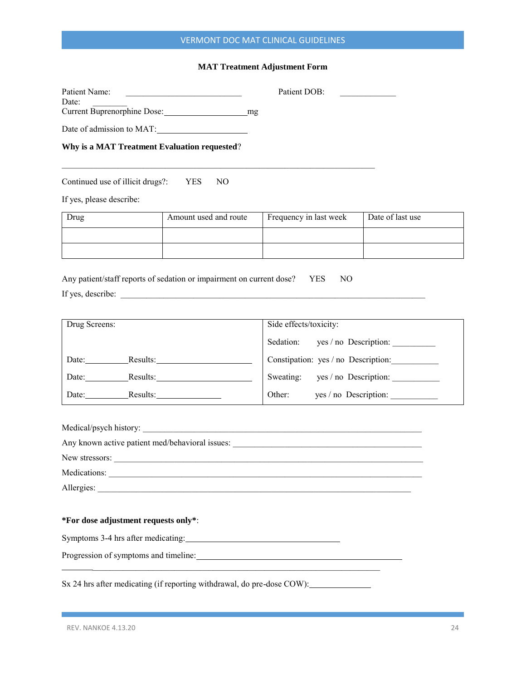## VERMONT DOC MAT CLINICAL GUIDELINES

#### **MAT Treatment Adjustment Form**

Patient Name: <br> Patient DOB:

Current Buprenorphine Dose: mg

Date of admission to MAT:

**Why is a MAT Treatment Evaluation requested**?

Continued use of illicit drugs?: YES NO

If yes, please describe:

Date:

| Drug | Amount used and route | Frequency in last week | Date of last use |
|------|-----------------------|------------------------|------------------|
|      |                       |                        |                  |
|      |                       |                        |                  |

Any patient/staff reports of sedation or impairment on current dose? YES NO If yes, describe: \_\_\_\_\_\_\_\_\_\_\_\_\_\_\_\_\_\_\_\_\_\_\_\_\_\_\_\_\_\_\_\_\_\_\_\_\_\_\_\_\_\_\_\_\_\_\_\_\_\_\_\_\_\_\_\_\_\_\_\_\_\_\_\_\_\_\_\_\_\_\_

\_\_\_\_\_\_\_\_\_\_\_\_\_\_\_\_\_\_\_\_\_\_\_\_\_\_\_\_\_\_\_\_\_\_\_\_\_\_\_\_\_\_\_\_\_\_\_\_\_\_\_\_\_\_\_\_\_\_\_\_\_\_\_\_\_\_\_\_\_\_\_\_\_

| Drug Screens:     | Side effects/toxicity:              |  |  |
|-------------------|-------------------------------------|--|--|
|                   | Sedation:<br>yes / no Description:  |  |  |
| Results:<br>Date: | Constipation: yes / no Description: |  |  |
| Results:<br>Date: | yes / no Description:<br>Sweating:  |  |  |
| Date:<br>Results: | Other:<br>yes / no Description:     |  |  |

| Medications:                         |
|--------------------------------------|
| Allergies:                           |
|                                      |
| *For dose adjustment requests only*: |
| Symptoms 3-4 hrs after medicating:   |
|                                      |
|                                      |

Sx 24 hrs after medicating (if reporting withdrawal, do pre-dose COW):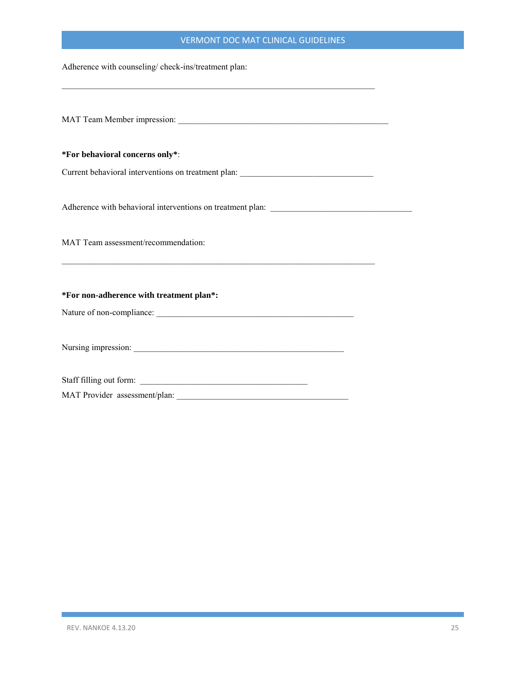#### VERMONT DOC MAT CLINICAL GUIDELINES

Adherence with counseling/ check-ins/treatment plan:

MAT Team Member impression: \_\_\_\_\_\_\_\_\_\_\_\_\_\_\_\_\_\_\_\_\_\_\_\_\_\_\_\_\_\_\_\_\_\_\_\_\_\_\_\_\_\_\_\_\_\_\_\_\_ **\*For behavioral concerns only\***: Current behavioral interventions on treatment plan: \_\_\_\_\_\_\_\_\_\_\_\_\_\_\_\_\_\_\_\_\_\_\_\_\_\_\_\_\_ Adherence with behavioral interventions on treatment plan: MAT Team assessment/recommendation:  $\mathcal{L}_\mathcal{L} = \{ \mathcal{L}_\mathcal{L} = \{ \mathcal{L}_\mathcal{L} = \{ \mathcal{L}_\mathcal{L} = \{ \mathcal{L}_\mathcal{L} = \{ \mathcal{L}_\mathcal{L} = \{ \mathcal{L}_\mathcal{L} = \{ \mathcal{L}_\mathcal{L} = \{ \mathcal{L}_\mathcal{L} = \{ \mathcal{L}_\mathcal{L} = \{ \mathcal{L}_\mathcal{L} = \{ \mathcal{L}_\mathcal{L} = \{ \mathcal{L}_\mathcal{L} = \{ \mathcal{L}_\mathcal{L} = \{ \mathcal{L}_\mathcal{$ **\*For non-adherence with treatment plan\*:**  Nature of non-compliance: \_\_\_\_\_\_\_\_\_\_\_\_\_\_\_\_\_\_\_\_\_\_\_\_\_\_\_\_\_\_\_\_\_\_\_\_\_\_\_\_\_\_\_\_\_\_ Nursing impression: \_\_\_\_\_\_\_\_\_\_\_\_\_\_\_\_\_\_\_\_\_\_\_\_\_\_\_\_\_\_\_\_\_\_\_\_\_\_\_\_\_\_\_\_\_\_\_\_\_ Staff filling out form: \_\_\_\_\_\_\_\_\_\_\_\_\_\_\_\_\_\_\_\_\_\_\_\_\_\_\_\_\_\_\_\_\_\_\_\_\_\_\_ MAT Provider assessment/plan:

\_\_\_\_\_\_\_\_\_\_\_\_\_\_\_\_\_\_\_\_\_\_\_\_\_\_\_\_\_\_\_\_\_\_\_\_\_\_\_\_\_\_\_\_\_\_\_\_\_\_\_\_\_\_\_\_\_\_\_\_\_\_\_\_\_\_\_\_\_\_\_\_\_